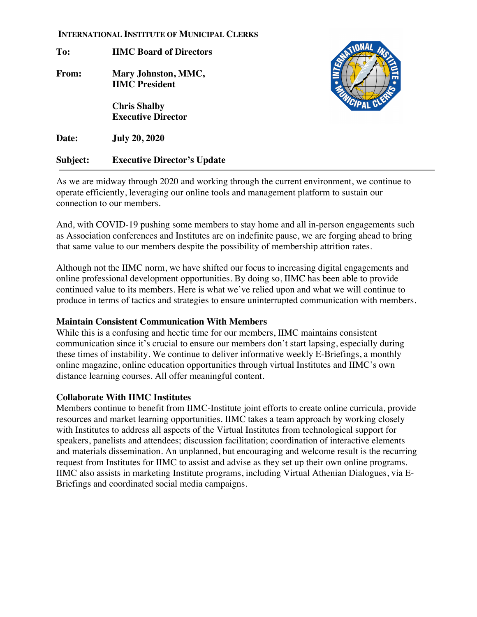#### **INTERNATIONAL INSTITUTE OF MUNICIPAL CLERKS**

**To: IIMC Board of Directors From: Mary Johnston, MMC, IIMC President Chris Shalby Executive Director**



**Date: July 20, 2020**

**Subject: Executive Director's Update**

As we are midway through 2020 and working through the current environment, we continue to operate efficiently, leveraging our online tools and management platform to sustain our connection to our members.

And, with COVID-19 pushing some members to stay home and all in-person engagements such as Association conferences and Institutes are on indefinite pause, we are forging ahead to bring that same value to our members despite the possibility of membership attrition rates.

Although not the IIMC norm, we have shifted our focus to increasing digital engagements and online professional development opportunities. By doing so, IIMC has been able to provide continued value to its members. Here is what we've relied upon and what we will continue to produce in terms of tactics and strategies to ensure uninterrupted communication with members.

## **Maintain Consistent Communication With Members**

While this is a confusing and hectic time for our members, IIMC maintains consistent communication since it's crucial to ensure our members don't start lapsing, especially during these times of instability. We continue to deliver informative weekly E-Briefings, a monthly online magazine, online education opportunities through virtual Institutes and IIMC's own distance learning courses. All offer meaningful content.

## **Collaborate With IIMC Institutes**

Members continue to benefit from IIMC-Institute joint efforts to create online curricula, provide resources and market learning opportunities. IIMC takes a team approach by working closely with Institutes to address all aspects of the Virtual Institutes from technological support for speakers, panelists and attendees; discussion facilitation; coordination of interactive elements and materials dissemination. An unplanned, but encouraging and welcome result is the recurring request from Institutes for IIMC to assist and advise as they set up their own online programs. IIMC also assists in marketing Institute programs, including Virtual Athenian Dialogues, via E-Briefings and coordinated social media campaigns.